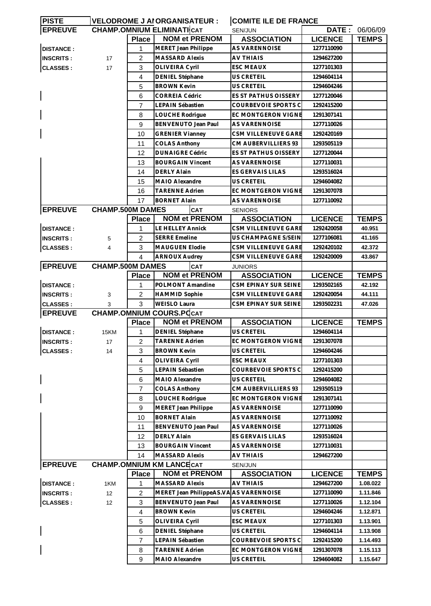| <b>PISTE</b>     |                         |                | VELODROME J AI ORGANISATEUR :    | <b>COMITE ILE DE FRANCE</b> |                |              |
|------------------|-------------------------|----------------|----------------------------------|-----------------------------|----------------|--------------|
| <b>EPREUVE</b>   |                         |                | <b>CHAMP.OMNIUM ELIMINATICAT</b> | SEN/JUN                     | DATE:          | 06/06/09     |
|                  |                         | <b>Place</b>   | <b>NOM et PRENOM</b>             | <b>ASSOCIATION</b>          | <b>LICENCE</b> | <b>TEMPS</b> |
| <b>DISTANCE:</b> |                         | 1              | MERET Jean Philippe              | <b>AS VARENNOISE</b>        | 1277110090     |              |
| <b>INSCRITS:</b> | 17                      | $\overline{2}$ | <b>MASSARD Alexis</b>            | AV THIAIS                   | 1294627200     |              |
| <b>CLASSES:</b>  | 17                      | 3              | OLIVEIRA Cyril                   | <b>ESC MEAUX</b>            | 1277101303     |              |
|                  |                         | 4              | DENIEL Stéphane                  | US CRETEIL                  | 1294604114     |              |
|                  |                         | 5              | <b>BROWN Kevin</b>               | US CRETEIL                  | 1294604246     |              |
|                  |                         | 6              | <b>CORREIA Cédric</b>            | <b>ES ST PATHUS OISSERY</b> | 1277120046     |              |
|                  |                         | 7              | LEPAIN Sébastien                 | COURBEVOIE SPORTS C         | 1292415200     |              |
|                  |                         | 8              | LOUCHE Rodrigue                  | EC MONTGERON VIGNE          | 1291307141     |              |
|                  |                         | 9              | BENVENUTO Jean Paul              | <b>AS VARENNOISE</b>        | 1277110026     |              |
|                  |                         | 10             | <b>GRENIER Vianney</b>           | CSM VILLENEUVE GARE         | 1292420169     |              |
|                  |                         |                | <b>COLAS Anthony</b>             | CM AUBERVILLIERS 93         | 1293505119     |              |
|                  |                         | 11             |                                  |                             |                |              |
|                  |                         | 12             | <b>DUNAIGRE Cédric</b>           | ES ST PATHUS OISSERY        | 1277120044     |              |
|                  |                         | 13             | <b>BOURGAIN Vincent</b>          | AS VARENNOISE               | 1277110031     |              |
|                  |                         | 14             | <b>DERLY Alain</b>               | ES GERVAIS LILAS            | 1293516024     |              |
|                  |                         | 15             | <b>MAIO Alexandre</b>            | US CRETEIL                  | 1294604082     |              |
|                  |                         | 16             | <b>TARENNE Adrien</b>            | EC MONTGERON VIGNE          | 1291307078     |              |
|                  |                         | 17             | <b>BORNET Alain</b>              | AS VARENNOISE               | 1277110092     |              |
| <b>EPREUVE</b>   | <b>CHAMP.500M DAMES</b> |                | <b>CAT</b>                       | <b>SENIORS</b>              |                |              |
|                  |                         | <b>Place</b>   | <b>NOM et PRENOM</b>             | <b>ASSOCIATION</b>          | <b>LICENCE</b> | <b>TEMPS</b> |
| <b>DISTANCE:</b> |                         | 1              | LE HELLEY Annick                 | CSM VILLENEUVE GARE         | 1292420058     | 40.951       |
| <b>INSCRITS:</b> | 5                       | 2              | <b>SERRE Emeline</b>             | US CHAMPAGNE S/SEIN         | 1277106081     | 41.165       |
| <b>CLASSES:</b>  | 4                       | 3              | <b>MAUGUEN Elodie</b>            | CSM VILLENEUVE GARE         | 1292420102     | 42.372       |
|                  |                         | 4              | <b>ARNOUX Audrey</b>             | CSM VILLENEUVE GARE         | 1292420009     | 43.867       |
| <b>EPREUVE</b>   | <b>CHAMP.500M DAMES</b> |                | <b>CAT</b>                       | <b>JUNIORS</b>              |                |              |
|                  |                         | <b>Place</b>   | <b>NOM et PRENOM</b>             | <b>ASSOCIATION</b>          | <b>LICENCE</b> | <b>TEMPS</b> |
| <b>DISTANCE:</b> |                         | 1              | POLMONT Amandine                 | CSM EPINAY SUR SEINE        | 1293502165     | 42.192       |
|                  |                         |                |                                  |                             |                |              |
| <b>INSCRITS:</b> | 3                       | 2              | <b>HAMMID Sophie</b>             | CSM VILLENEUVE GARE         | 1292420054     | 44.111       |
| <b>CLASSES:</b>  | 3                       | 3              | <b>WEISLO Laura</b>              | CSM EPINAY SUR SEINE        | 1293502231     | 47.026       |
| <b>EPREUVE</b>   |                         |                | <b>CHAMP.OMNIUM COURS.POCAT</b>  |                             |                |              |
|                  |                         | <b>Place</b>   | <b>NOM et PRENOM</b>             | <b>ASSOCIATION</b>          | <b>LICENCE</b> | <b>TEMPS</b> |
| <b>DISTANCE:</b> | 15KM                    | 1              | <b>DENIEL Stéphane</b>           | <b>US CRETEIL</b>           | 1294604114     |              |
| <b>INSCRITS:</b> | 17                      | $\overline{2}$ | <b>TARENNE Adrien</b>            | EC MONTGERON VIGNE          | 1291307078     |              |
| <b>CLASSES:</b>  | 14                      | 3              | <b>BROWN Kevin</b>               | US CRETEIL                  | 1294604246     |              |
|                  |                         | 4              | <b>OLIVEIRA Cyril</b>            | <b>ESC MEAUX</b>            | 1277101303     |              |
|                  |                         | 5              | LEPAIN Sébastien                 | COURBEVOIE SPORTS C         | 1292415200     |              |
|                  |                         | 6              | <b>MAIO Alexandre</b>            | <b>US CRETEIL</b>           | 1294604082     |              |
|                  |                         | $\overline{7}$ | <b>COLAS Anthony</b>             | CM AUBERVILLIERS 93         | 1293505119     |              |
|                  |                         | 8              | LOUCHE Rodrigue                  | EC MONTGERON VIGNE          | 1291307141     |              |
|                  |                         | 9              | MERET Jean Philippe              | AS VARENNOISE               | 1277110090     |              |
|                  |                         | 10             | <b>BORNET Alain</b>              | AS VARENNOISE               | 1277110092     |              |
|                  |                         | 11             | BENVENUTO Jean Paul              | AS VARENNOISE               | 1277110026     |              |
|                  |                         | 12             | <b>DERLY Alain</b>               | ES GERVAIS LILAS            | 1293516024     |              |
|                  |                         | 13             | <b>BOURGAIN Vincent</b>          | AS VARENNOISE               | 1277110031     |              |
|                  |                         | 14             | <b>MASSARD Alexis</b>            | AV THIAIS                   | 1294627200     |              |
| <b>EPREUVE</b>   |                         |                | <b>CHAMP.OMNIUM KM LANCECAT</b>  | <b>SEN/JUN</b>              |                |              |
|                  |                         | <b>Place</b>   | <b>NOM et PRENOM</b>             | <b>ASSOCIATION</b>          | <b>LICENCE</b> | <b>TEMPS</b> |
|                  |                         |                |                                  |                             |                |              |
| <b>DISTANCE:</b> | 1KM                     | 1              | <b>MASSARD Alexis</b>            | <b>AV THIAIS</b>            | 1294627200     | 1.08.022     |
| <b>INSCRITS:</b> | 12                      | 2              | MERET Jean PhilippeAS.VA         | <b>AS VARENNOISE</b>        | 1277110090     | 1.11.846     |
| <b>CLASSES:</b>  | 12                      | 3              | BENVENUTO Jean Paul              | AS VARENNOISE               | 1277110026     | 1.12.104     |
|                  |                         | 4              | <b>BROWN Kevin</b>               | US CRETEIL                  | 1294604246     | 1.12.871     |
|                  |                         | 5              | OLIVEIRA Cyril                   | <b>ESC MEAUX</b>            | 1277101303     | 1.13.901     |
|                  |                         | 6              | DENIEL Stéphane                  | US CRETEIL                  | 1294604114     | 1.13.908     |
|                  |                         | 7              | LEPAIN Sébastien                 | COURBEVOIE SPORTS C         | 1292415200     | 1.14.493     |
|                  |                         | 8              | <b>TARENNE Adrien</b>            | EC MONTGERON VIGNE          | 1291307078     | 1.15.113     |
|                  |                         | 9              | MAIO Alexandre                   | US CRETEIL                  | 1294604082     | 1.15.647     |